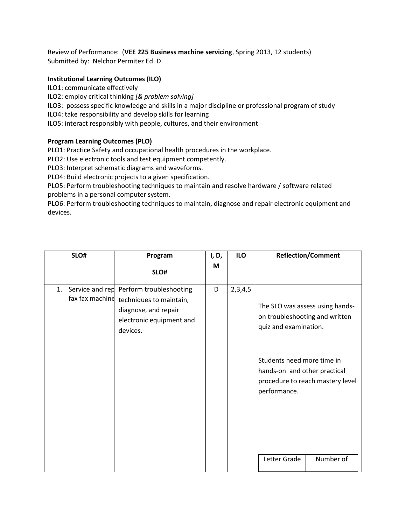Review of Performance: (**VEE 225 Business machine servicing**, Spring 2013, 12 students) Submitted by: Nelchor Permitez Ed. D.

## **Institutional Learning Outcomes (ILO)**

ILO1: communicate effectively

ILO2: employ critical thinking *[& problem solving]*

ILO3: possess specific knowledge and skills in a major discipline or professional program of study

ILO4: take responsibility and develop skills for learning

ILO5: interact responsibly with people, cultures, and their environment

## **Program Learning Outcomes (PLO)**

PLO1: Practice Safety and occupational health procedures in the workplace.

PLO2: Use electronic tools and test equipment competently.

PLO3: Interpret schematic diagrams and waveforms.

PLO4: Build electronic projects to a given specification.

PLO5: Perform troubleshooting techniques to maintain and resolve hardware / software related problems in a personal computer system.

PLO6: Perform troubleshooting techniques to maintain, diagnose and repair electronic equipment and devices.

| SLO#                  | Program                                                                                                                            | I, D, | <b>ILO</b> | <b>Reflection/Comment</b>                                                                                                                                                                                    |  |
|-----------------------|------------------------------------------------------------------------------------------------------------------------------------|-------|------------|--------------------------------------------------------------------------------------------------------------------------------------------------------------------------------------------------------------|--|
|                       | SLO#                                                                                                                               | M     |            |                                                                                                                                                                                                              |  |
| 1.<br>fax fax machine | Service and rep Perform troubleshooting<br>techniques to maintain,<br>diagnose, and repair<br>electronic equipment and<br>devices. | D     | 2,3,4,5    | The SLO was assess using hands-<br>on troubleshooting and written<br>quiz and examination.<br>Students need more time in<br>hands-on and other practical<br>procedure to reach mastery level<br>performance. |  |
|                       |                                                                                                                                    |       |            | Number of<br>Letter Grade                                                                                                                                                                                    |  |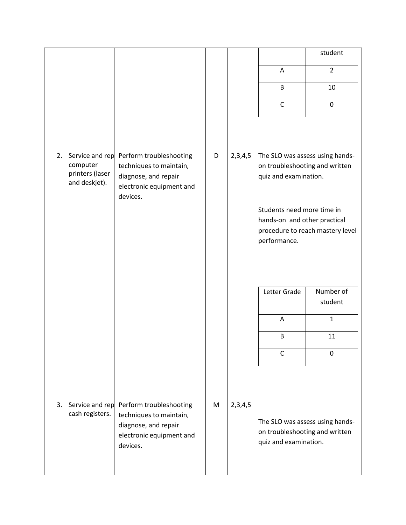|    |                                    |                                                    |   |         |                                                                   | student                          |  |
|----|------------------------------------|----------------------------------------------------|---|---------|-------------------------------------------------------------------|----------------------------------|--|
|    |                                    |                                                    |   |         | A                                                                 | $\overline{2}$                   |  |
|    |                                    |                                                    |   |         | B                                                                 | 10                               |  |
|    |                                    |                                                    |   |         | $\mathsf C$                                                       | $\mathbf 0$                      |  |
|    |                                    |                                                    |   |         |                                                                   |                                  |  |
|    |                                    |                                                    |   |         |                                                                   |                                  |  |
| 2. | Service and rep<br>computer        | Perform troubleshooting<br>techniques to maintain, | D | 2,3,4,5 | The SLO was assess using hands-                                   |                                  |  |
|    | printers (laser<br>and deskjet).   | diagnose, and repair                               |   |         | on troubleshooting and written<br>quiz and examination.           |                                  |  |
|    |                                    | electronic equipment and<br>devices.               |   |         |                                                                   |                                  |  |
|    |                                    |                                                    |   |         | Students need more time in                                        |                                  |  |
|    |                                    |                                                    |   |         | hands-on and other practical                                      | procedure to reach mastery level |  |
|    |                                    |                                                    |   |         | performance.                                                      |                                  |  |
|    |                                    |                                                    |   |         |                                                                   |                                  |  |
|    |                                    |                                                    |   |         |                                                                   |                                  |  |
|    |                                    |                                                    |   |         | Letter Grade                                                      | Number of                        |  |
|    |                                    |                                                    |   |         |                                                                   | student                          |  |
|    |                                    |                                                    |   |         | Α                                                                 | $\mathbf{1}$                     |  |
|    |                                    |                                                    |   |         | B                                                                 | 11                               |  |
|    |                                    |                                                    |   |         | $\mathsf{C}$                                                      | $\Omega$                         |  |
|    |                                    |                                                    |   |         |                                                                   |                                  |  |
|    |                                    |                                                    |   |         |                                                                   |                                  |  |
| 3. | Service and rep<br>cash registers. | Perform troubleshooting<br>techniques to maintain, | M | 2,3,4,5 |                                                                   |                                  |  |
|    |                                    | diagnose, and repair                               |   |         | The SLO was assess using hands-<br>on troubleshooting and written |                                  |  |
|    |                                    | electronic equipment and<br>devices.               |   |         | quiz and examination.                                             |                                  |  |
|    |                                    |                                                    |   |         |                                                                   |                                  |  |
|    |                                    |                                                    |   |         |                                                                   |                                  |  |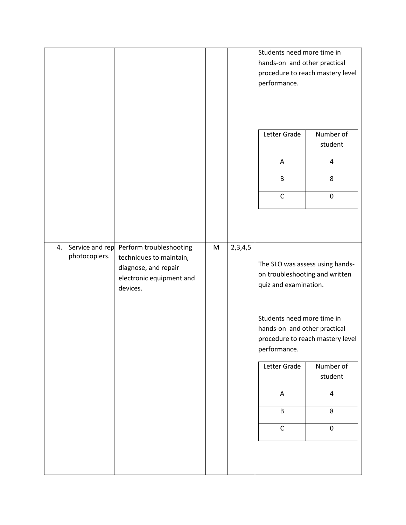|                                        |                                                                                                                    |   |         | Students need more time in<br>hands-on and other practical<br>performance.<br>Letter Grade<br>A<br>B<br>$\mathsf C$                                                                                                                                                                                     | procedure to reach mastery level<br>Number of<br>student<br>$\pmb{4}$<br>8<br>$\pmb{0}$ |
|----------------------------------------|--------------------------------------------------------------------------------------------------------------------|---|---------|---------------------------------------------------------------------------------------------------------------------------------------------------------------------------------------------------------------------------------------------------------------------------------------------------------|-----------------------------------------------------------------------------------------|
| Service and rep<br>4.<br>photocopiers. | Perform troubleshooting<br>techniques to maintain,<br>diagnose, and repair<br>electronic equipment and<br>devices. | M | 2,3,4,5 | The SLO was assess using hands-<br>on troubleshooting and written<br>quiz and examination.<br>Students need more time in<br>hands-on and other practical<br>procedure to reach mastery level<br>performance.<br>Letter Grade<br>Number of<br>student<br>4<br>A<br>B<br>8<br>$\overline{C}$<br>$\pmb{0}$ |                                                                                         |